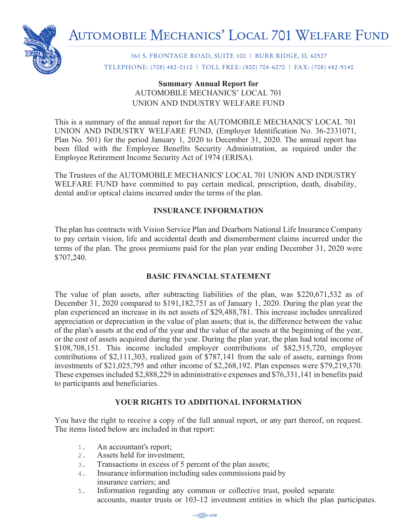

361 S. FRONTAGE ROAD, SUITE 100 | BURR RIDGE, IL 60527 TELEPHONE: (708) 482-0110 | TOLL FREE: (800) 704-6270 | FAX: (708) 482-9140

## **Summary Annual Report for** AUTOMOBILE MECHANICS' LOCAL 701 **Summary Annual Report for** UNION AND INDUSTRY WELFARE FUND

This is a summary of the annual report for the AUTOMOBILE MECHANICS' LOCAL 701 UNION AND INDUSTRY WELFARE FUND, (Employer Identification No. 36-2331071, Plan No. 501) for the period January 1, 2020 to December 31, 2020. The annual report has been filed with the Employee Benefits Security Administration, as required under the Employee Retirement Income Security Act of 1974 (ERISA).

The Trustees of the AUTOMOBILE MECHANICS' LOCAL 701 UNION AND INDUSTRY WELFARE FUND have committed to pay certain medical, prescription, death, disability, dental and/or optical claims incurred under the terms of the plan.

## **INSURANCE INFORMATION**

The plan has contracts with Vision Service Plan and Dearborn National Life Insurance Company to pay certain vision, life and accidental death and dismemberment claims incurred under the terms of the plan. The gross premiums paid for the plan year ending December 31, 2020 were \$707,240.  $\frac{1}{2}$ 

## **BASIC FINANCIAL STATEMENT**

The value of plan assets, after subtracting liabilities of the plan, was  $$220,671,532$  as of December 31, 2020 compared to \$191,182,751 as of January 1, 2020. During the plan year the plan experienced an increase in its net assets of \$29,488,781. This increase includes unrealized appreciation or depreciation in the value of plan assets; that is, the difference between the value of the plan's assets at the end of the year and the value of the assets at the beginning of the year, or the cost of assets acquired during the year. During the plan year, the plan had total income of \$108,708,151. This income included employer contributions of \$82,515,720, employee contributions of \$2,111,303, realized gain of \$787,141 from the sale of assets, earnings from investments of  $$21,025,795$  and other income of  $$2,268,192$ . Plan expenses were  $$79,219,370$ . These expenses included \$2,888,229 in administrative expenses and  $$76,331,141$  in benefits paid to participants and beneficiaries.

## **YOUR RIGHTS TO ADDITIONAL INFORMATION**

You have the right to receive a copy of the full annual report, or any part thereof, on request. The items listed below are included in that report:

- 1. An accountant's report;
- 2. Assets held for investment;
- 3. Transactions in excess of 5 percent of the plan assets;
- 4. Insurance information including sales commissions paid by insurance carriers; and
- 5. Information regarding any common or collective trust, pooled separate accounts, master trusts or 103-12 investment entities in which the plan participates.